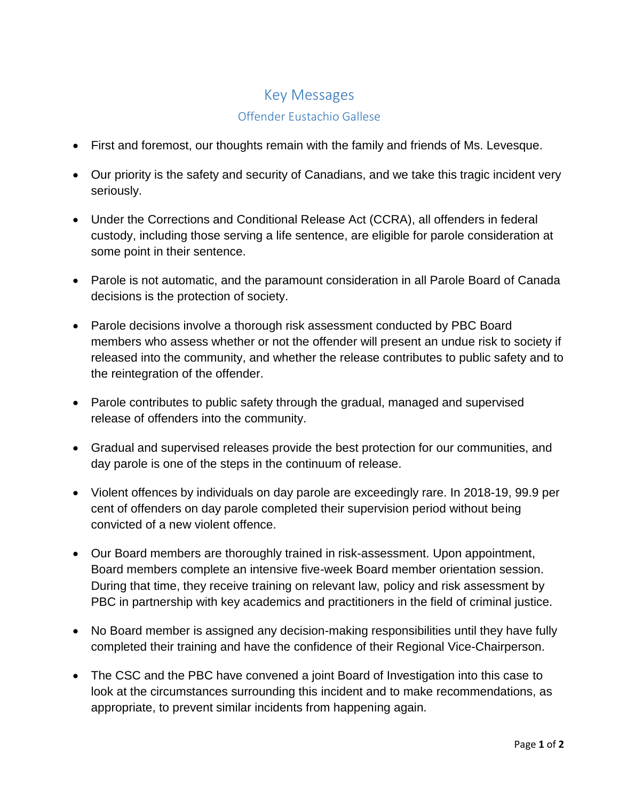## Key Messages Offender Eustachio Gallese

- First and foremost, our thoughts remain with the family and friends of Ms. Levesque.
- Our priority is the safety and security of Canadians, and we take this tragic incident very seriously.
- Under the Corrections and Conditional Release Act (CCRA), all offenders in federal custody, including those serving a life sentence, are eligible for parole consideration at some point in their sentence.
- Parole is not automatic, and the paramount consideration in all Parole Board of Canada decisions is the protection of society.
- Parole decisions involve a thorough risk assessment conducted by PBC Board members who assess whether or not the offender will present an undue risk to society if released into the community, and whether the release contributes to public safety and to the reintegration of the offender.
- Parole contributes to public safety through the gradual, managed and supervised release of offenders into the community.
- Gradual and supervised releases provide the best protection for our communities, and day parole is one of the steps in the continuum of release.
- Violent offences by individuals on day parole are exceedingly rare. In 2018-19, 99.9 per cent of offenders on day parole completed their supervision period without being convicted of a new violent offence.
- Our Board members are thoroughly trained in risk-assessment. Upon appointment, Board members complete an intensive five-week Board member orientation session. During that time, they receive training on relevant law, policy and risk assessment by PBC in partnership with key academics and practitioners in the field of criminal justice.
- No Board member is assigned any decision-making responsibilities until they have fully completed their training and have the confidence of their Regional Vice-Chairperson.
- The CSC and the PBC have convened a joint Board of Investigation into this case to look at the circumstances surrounding this incident and to make recommendations, as appropriate, to prevent similar incidents from happening again.